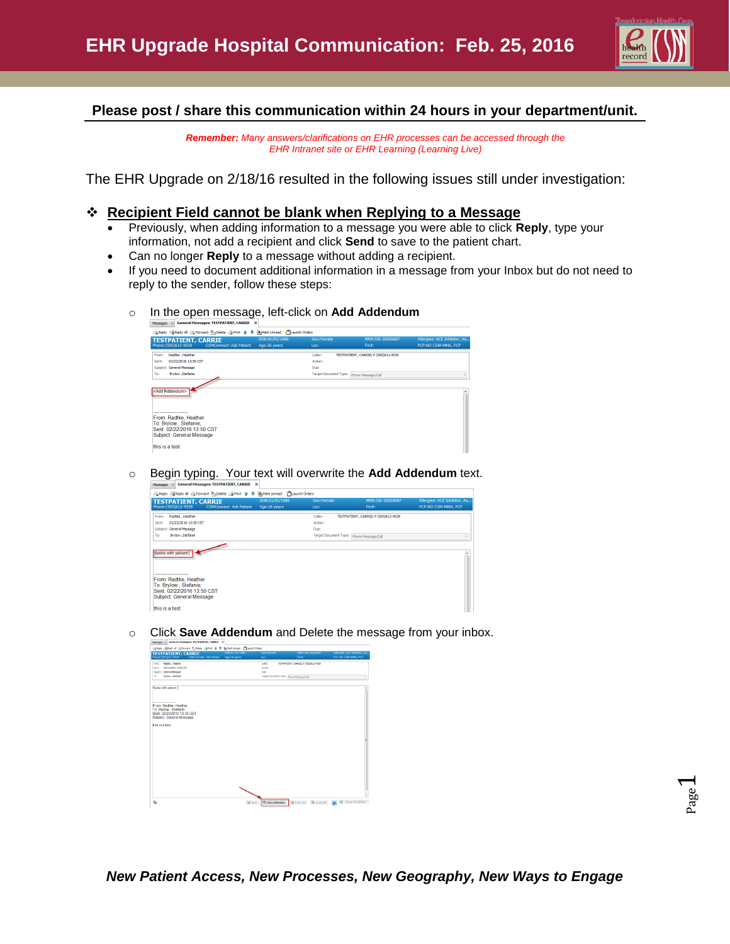

## **Please post / share this communication within 24 hours in your department/unit.**

*Remember: Many answers/clarifications on EHR processes can be accessed through the EHR Intranet site or EHR Learning (Learning Live)*

The EHR Upgrade on 2/18/16 resulted in the following issues still under investigation:

## **Recipient Field cannot be blank when Replying to a Message**

- Previously, when adding information to a message you were able to click **Reply**, type your information, not add a recipient and click **Send** to save to the patient chart.
- Can no longer **Reply** to a message without adding a recipient.
- If you need to document additional information in a message from your Inbox but do not need to reply to the sender, follow these steps:
	- o In the open message, left-click on **Add Addendum**

|          | <b>TESTPATIENT, CARRIE</b>                             | DOB:01/01/1980 | Sex:Female            | MRN:SIG-20026687                     | Allergies: ACE Inhibitor, As |
|----------|--------------------------------------------------------|----------------|-----------------------|--------------------------------------|------------------------------|
|          | Phone: (505)612-4539<br><b>CSMConnect: Ask Patient</b> | Age:36 years   | Loc:                  | $Fin#$ :                             | PCP:NO CSM-MMA, PCP          |
| From:    | Radtke, Heather                                        |                | Caller:               | TESTPATIENT, CARRIE; P (505)612-4539 |                              |
| Sent:    | 02/22/2016 13:50 CST                                   |                | Action:               |                                      |                              |
| Subject: | General Message                                        |                | Due:                  |                                      |                              |
| To:      | <b>Brylow</b> , Stefanie                               |                | Target Document Type: | Phone Message/Call                   |                              |
|          |                                                        |                |                       |                                      |                              |
|          |                                                        |                |                       |                                      |                              |
|          | <br>From: Radtke, Heather                              |                |                       |                                      |                              |
|          | To: Brylow . Stefanie:                                 |                |                       |                                      |                              |
|          | Sent: 02/22/2016 13:50 CST                             |                |                       |                                      |                              |
|          | Subiect: General Message                               |                |                       |                                      |                              |
|          |                                                        |                |                       |                                      |                              |
|          | this is a test                                         |                |                       |                                      |                              |

o Begin typing. Your text will overwrite the **Add Addendum** text.

|                       | Messages XI<br><b>General Messages: TESTPATIENT, CARRIE XI</b>                                                                                     |                                                                  |                                                            |                                                            |                                                     |  |  |
|-----------------------|----------------------------------------------------------------------------------------------------------------------------------------------------|------------------------------------------------------------------|------------------------------------------------------------|------------------------------------------------------------|-----------------------------------------------------|--|--|
|                       |                                                                                                                                                    |                                                                  |                                                            |                                                            |                                                     |  |  |
|                       | <b>TESTPATIENT, CARRIE</b><br>Phone:(505)612-4539                                                                                                  | DOB:01/01/1980<br><b>CSMConnect: Ask Patient</b><br>Age:36 years | Sex:Female<br>Loc:                                         | MRN:SIG-20026687<br>Fin#:                                  | Allergies: ACE Inhibitor, As<br>PCP:NO CSM-MMA, PCP |  |  |
| From:<br>Sent:<br>To: | Radtke, Heather<br>02/22/2016 13:50 CST<br>Subject: General Message<br><b>Brylow ,Stefanie</b>                                                     |                                                                  | Caller:<br>Action:<br>Due:<br><b>Target Document Type:</b> | TESTPATIENT, CARRIE: P (505)612-4539<br>Phone Message/Call |                                                     |  |  |
|                       | Spoke with patient.<br>From: Radtke, Heather<br>To: Brylow . Stefanie:<br>Sent: 02/22/2016 13:50 CST<br>Subiect: General Message<br>this is a test |                                                                  |                                                            |                                                            |                                                     |  |  |

o Click **Save Addendum** and Delete the message from your inbox.

| Nessages X General Messages: TESTPATIENT, CABRIE X                            |                                           |                                                   |                                |
|-------------------------------------------------------------------------------|-------------------------------------------|---------------------------------------------------|--------------------------------|
| Elykely Elikely Al Elyforward Wybeler (Simit & & ByMarktimead Elizandi Orders |                                           |                                                   |                                |
| DO8:01/01/1980<br><b>TESTPATIENT, CARRIE</b>                                  | SecFemale                                 | MRN: 515-20026687                                 | Allergies: ACE Inhibitor, As., |
| <b>CSMConnect: Ask Patient</b><br>Phone:(505)612-4539<br>Age:36 years         | Loci                                      | Fin#1                                             | <b>PCP NO CSM-MMA, PCP</b>     |
| Radfor, Heather<br>Promo-                                                     | Caller:                                   | TESTPATIENT, CARRIE: P (505)612-4539              |                                |
| 02/22/2016 13:50 CST<br>Senty                                                 | Actions                                   |                                                   |                                |
| Subject: General Message                                                      | Duen                                      |                                                   |                                |
| Too<br><b>Brylow Stefanie</b>                                                 | Target Document Type: Intone Hessage/Call |                                                   | $\overline{\phantom{a}}$       |
| Spoke with patient.                                                           |                                           |                                                   |                                |
| -------------<br>From: Radtke, Heather<br>To: Brvlow, Stefanie;               |                                           |                                                   |                                |
| Sent: 02/22/2016 13:50 CST<br>Subject: General Message                        |                                           |                                                   |                                |
| this is a test                                                                |                                           |                                                   |                                |
|                                                                               |                                           |                                                   |                                |
|                                                                               |                                           |                                                   |                                |
|                                                                               |                                           |                                                   |                                |
|                                                                               |                                           |                                                   |                                |
|                                                                               |                                           |                                                   |                                |
|                                                                               |                                           |                                                   |                                |
|                                                                               |                                           |                                                   |                                |
|                                                                               |                                           |                                                   |                                |
|                                                                               |                                           |                                                   |                                |
|                                                                               |                                           |                                                   |                                |
|                                                                               |                                           |                                                   |                                |
|                                                                               |                                           |                                                   |                                |
| ø                                                                             | (a) Save                                  | <b>Ma Save Addendum @ Reject All @ Accept All</b> | C Accept All and Next          |
|                                                                               |                                           |                                                   |                                |